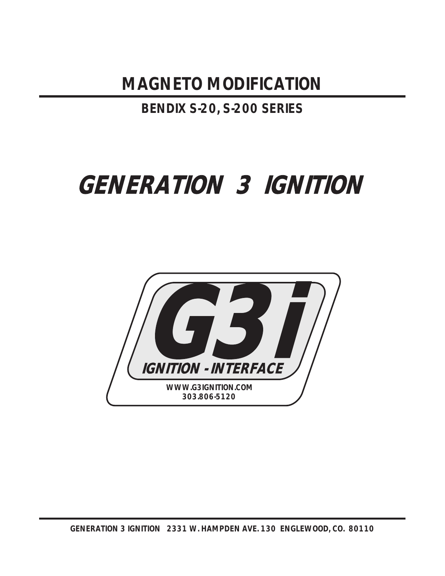**MAGNETO MODIFICATION**

**BENDIX S-20, S-200 SERIES**

# **GENERATION 3 IGNITION**

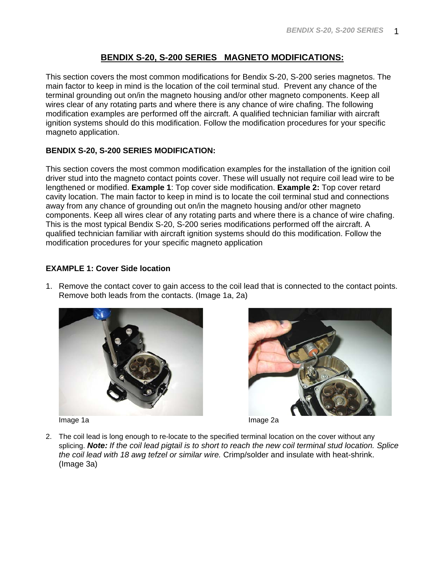# **BENDIX S-20, S-200 SERIES MAGNETO MODIFICATIONS:**

This section covers the most common modifications for Bendix S-20, S-200 series magnetos. The main factor to keep in mind is the location of the coil terminal stud. Prevent any chance of the terminal grounding out on/in the magneto housing and/or other magneto components. Keep all wires clear of any rotating parts and where there is any chance of wire chafing. The following modification examples are performed off the aircraft. A qualified technician familiar with aircraft ignition systems should do this modification. Follow the modification procedures for your specific magneto application.

## **BENDIX S-20, S-200 SERIES MODIFICATION:**

This section covers the most common modification examples for the installation of the ignition coil driver stud into the magneto contact points cover. These will usually not require coil lead wire to be lengthened or modified. **Example 1**: Top cover side modification. **Example 2:** Top cover retard cavity location. The main factor to keep in mind is to locate the coil terminal stud and connections away from any chance of grounding out on/in the magneto housing and/or other magneto components. Keep all wires clear of any rotating parts and where there is a chance of wire chafing. This is the most typical Bendix S-20, S-200 series modifications performed off the aircraft. A qualified technician familiar with aircraft ignition systems should do this modification. Follow the modification procedures for your specific magneto application

## **EXAMPLE 1: Cover Side location**

1. Remove the contact cover to gain access to the coil lead that is connected to the contact points. Remove both leads from the contacts. (Image 1a, 2a)



Image 1a **Image 1a** Image 2a





2. The coil lead is long enough to re-locate to the specified terminal location on the cover without any splicing. *Note: If the coil lead pigtail is to short to reach the new coil terminal stud location. Splice the coil lead with 18 awg tefzel or similar wire.* Crimp/solder and insulate with heat-shrink. (Image 3a)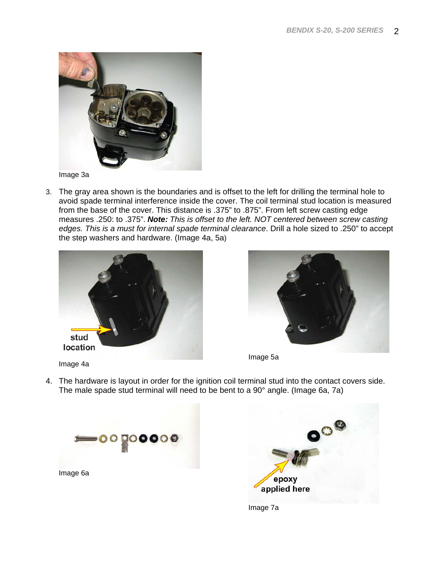

Image 3a

3. The gray area shown is the boundaries and is offset to the left for drilling the terminal hole to avoid spade terminal interference inside the cover. The coil terminal stud location is measured from the base of the cover. This distance is .375" to .875". From left screw casting edge measures .250: to .375". *Note: This is offset to the left. NOT centered between screw casting edges. This is a must for internal spade terminal clearance*. Drill a hole sized to .250" to accept the step washers and hardware. (Image 4a, 5a)





Image 5a

- Image 4a
- 4. The hardware is layout in order for the ignition coil terminal stud into the contact covers side. The male spade stud terminal will need to be bent to a 90° angle. (Image 6a, 7a)





Image 7a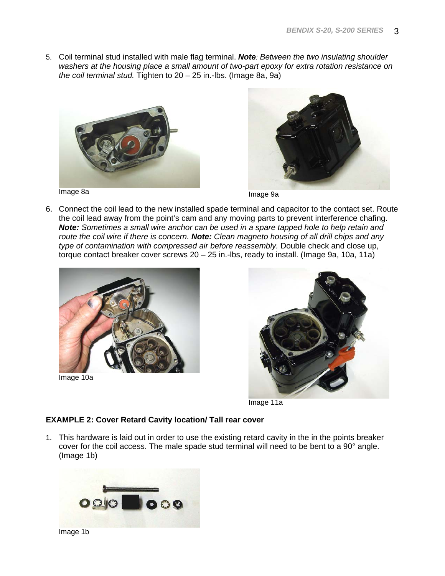5. Coil terminal stud installed with male flag terminal. *Note: Between the two insulating shoulder washers at the housing place a small amount of two-part epoxy for extra rotation resistance on the coil terminal stud.* Tighten to 20 – 25 in.-lbs. (Image 8a, 9a)





6. Connect the coil lead to the new installed spade terminal and capacitor to the contact set. Route the coil lead away from the point's cam and any moving parts to prevent interference chafing. *Note: Sometimes a small wire anchor can be used in a spare tapped hole to help retain and route the coil wire if there is concern. Note: Clean magneto housing of all drill chips and any type of contamination with compressed air before reassembly.* Double check and close up, torque contact breaker cover screws 20 – 25 in.-lbs, ready to install. (Image 9a, 10a, 11a)



Image 10a



Image 11a

### **EXAMPLE 2: Cover Retard Cavity location/ Tall rear cover**

1. This hardware is laid out in order to use the existing retard cavity in the in the points breaker cover for the coil access. The male spade stud terminal will need to be bent to a 90° angle. (Image 1b)

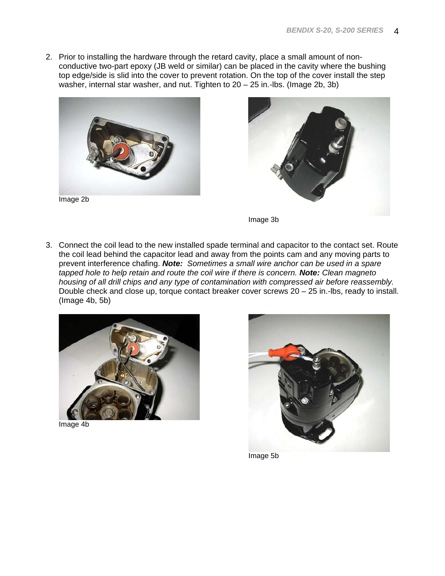2. Prior to installing the hardware through the retard cavity, place a small amount of nonconductive two-part epoxy (JB weld or similar) can be placed in the cavity where the bushing top edge/side is slid into the cover to prevent rotation. On the top of the cover install the step washer, internal star washer, and nut. Tighten to 20 – 25 in.-lbs. (Image 2b, 3b)



Image 2b



Image 3b

3. Connect the coil lead to the new installed spade terminal and capacitor to the contact set. Route the coil lead behind the capacitor lead and away from the points cam and any moving parts to prevent interference chafing. *Note: Sometimes a small wire anchor can be used in a spare tapped hole to help retain and route the coil wire if there is concern. Note: Clean magneto housing of all drill chips and any type of contamination with compressed air before reassembly.* Double check and close up, torque contact breaker cover screws 20 – 25 in.-lbs, ready to install. (Image 4b, 5b)



Image 4b



Image 5b